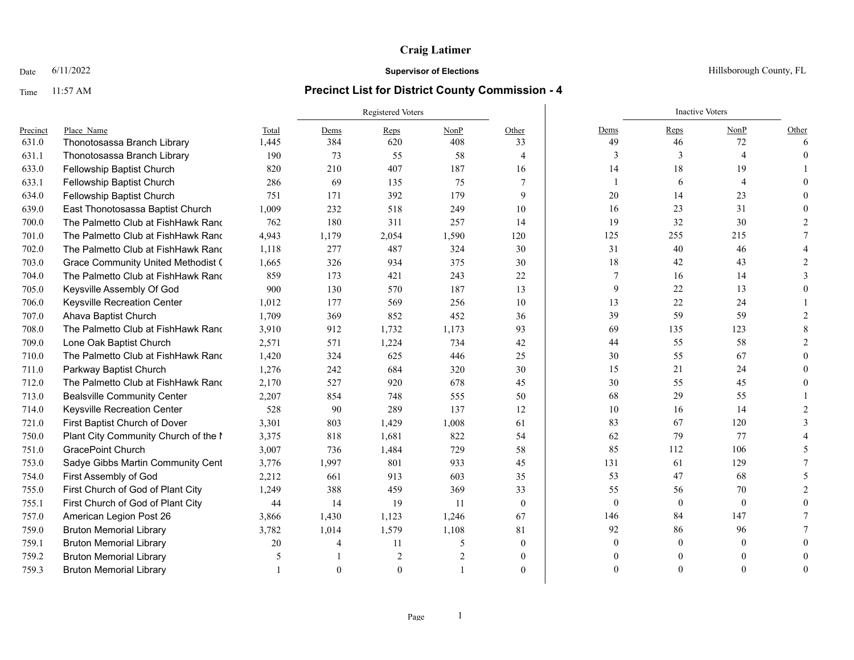### Date  $6/11/2022$  Hillsborough County, FL

|          |                                           |       | Registered Voters |                |                |                | <b>Inactive Voters</b> |              |                |          |  |
|----------|-------------------------------------------|-------|-------------------|----------------|----------------|----------------|------------------------|--------------|----------------|----------|--|
| Precinct | Place Name                                | Total | Dems              | Reps           | NonP           | Other          | Dems                   | Reps         | NonP           | Other    |  |
| 631.0    | Thonotosassa Branch Library               | 1,445 | 384               | 620            | 408            | 33             | 49                     | 46           | 72             | 6        |  |
| 631.1    | Thonotosassa Branch Library               | 190   | 73                | 55             | 58             | 4              | 3                      | 3            | $\overline{4}$ |          |  |
| 633.0    | <b>Fellowship Baptist Church</b>          | 820   | 210               | 407            | 187            | 16             | 14                     | 18           | 19             |          |  |
| 633.1    | Fellowship Baptist Church                 | 286   | 69                | 135            | 75             | 7              | $\mathbf{1}$           | 6            | $\overline{4}$ |          |  |
| 634.0    | Fellowship Baptist Church                 | 751   | 171               | 392            | 179            | 9              | 20                     | 14           | 23             |          |  |
| 639.0    | East Thonotosassa Baptist Church          | 1,009 | 232               | 518            | 249            | 10             | 16                     | 23           | 31             |          |  |
| 700.0    | The Palmetto Club at FishHawk Rand        | 762   | 180               | 311            | 257            | 14             | 19                     | 32           | 30             |          |  |
| 701.0    | The Palmetto Club at FishHawk Rand        | 4,943 | 1,179             | 2,054          | 1,590          | 120            | 125                    | 255          | 215            |          |  |
| 702.0    | The Palmetto Club at FishHawk Rand        | 1,118 | 277               | 487            | 324            | 30             | 31                     | 40           | 46             |          |  |
| 703.0    | <b>Grace Community United Methodist (</b> | 1,665 | 326               | 934            | 375            | 30             | 18                     | 42           | 43             |          |  |
| 704.0    | The Palmetto Club at FishHawk Rand        | 859   | 173               | 421            | 243            | 22             | 7                      | 16           | 14             |          |  |
| 705.0    | Keysville Assembly Of God                 | 900   | 130               | 570            | 187            | 13             | 9                      | 22           | 13             |          |  |
| 706.0    | Keysville Recreation Center               | 1,012 | 177               | 569            | 256            | 10             | 13                     | 22           | 24             |          |  |
| 707.0    | Ahava Baptist Church                      | 1.709 | 369               | 852            | 452            | 36             | 39                     | 59           | 59             |          |  |
| 708.0    | The Palmetto Club at FishHawk Rand        | 3,910 | 912               | 1,732          | 1,173          | 93             | 69                     | 135          | 123            |          |  |
| 709.0    | Lone Oak Baptist Church                   | 2,571 | 571               | 1,224          | 734            | 42             | 44                     | 55           | 58             |          |  |
| 710.0    | The Palmetto Club at FishHawk Rand        | 1,420 | 324               | 625            | 446            | 25             | $30\,$                 | 55           | 67             |          |  |
| 711.0    | Parkway Baptist Church                    | 1,276 | 242               | 684            | 320            | 30             | 15                     | 21           | 24             |          |  |
| 712.0    | The Palmetto Club at FishHawk Rand        | 2,170 | 527               | 920            | 678            | 45             | 30                     | 55           | 45             |          |  |
| 713.0    | <b>Bealsville Community Center</b>        | 2,207 | 854               | 748            | 555            | 50             | 68                     | 29           | 55             |          |  |
| 714.0    | <b>Keysville Recreation Center</b>        | 528   | 90                | 289            | 137            | 12             | 10                     | 16           | 14             |          |  |
| 721.0    | First Baptist Church of Dover             | 3,301 | 803               | 1,429          | 1,008          | 61             | 83                     | 67           | 120            |          |  |
| 750.0    | Plant City Community Church of the N      | 3,375 | 818               | 1,681          | 822            | 54             | 62                     | 79           | 77             |          |  |
| 751.0    | GracePoint Church                         | 3,007 | 736               | 1,484          | 729            | 58             | 85                     | 112          | 106            |          |  |
| 753.0    | Sadye Gibbs Martin Community Cent         | 3,776 | 1,997             | 801            | 933            | 45             | 131                    | 61           | 129            |          |  |
| 754.0    | First Assembly of God                     | 2,212 | 661               | 913            | 603            | 35             | 53                     | 47           | 68             |          |  |
| 755.0    | First Church of God of Plant City         | 1,249 | 388               | 459            | 369            | 33             | 55                     | 56           | 70             |          |  |
| 755.1    | First Church of God of Plant City         | 44    | 14                | 19             | 11             | $\theta$       | $\mathbf{0}$           | $\mathbf{0}$ | $\mathbf{0}$   |          |  |
| 757.0    | American Legion Post 26                   | 3,866 | 1,430             | 1,123          | 1,246          | 67             | 146                    | 84           | 147            |          |  |
| 759.0    | <b>Bruton Memorial Library</b>            | 3,782 | 1,014             | 1,579          | 1,108          | 81             | 92                     | 86           | 96             |          |  |
| 759.1    | <b>Bruton Memorial Library</b>            | 20    | 4                 | 11             | 5              | $\mathbf{0}$   | $\overline{0}$         | $\theta$     | $\Omega$       |          |  |
| 759.2    | <b>Bruton Memorial Library</b>            |       |                   | $\overline{2}$ | $\overline{2}$ | $\overline{0}$ |                        |              |                |          |  |
| 759.3    | <b>Bruton Memorial Library</b>            |       | $\Omega$          | $\Omega$       |                | $\overline{0}$ | $\Omega$               | $\Omega$     | $\Omega$       | $\Omega$ |  |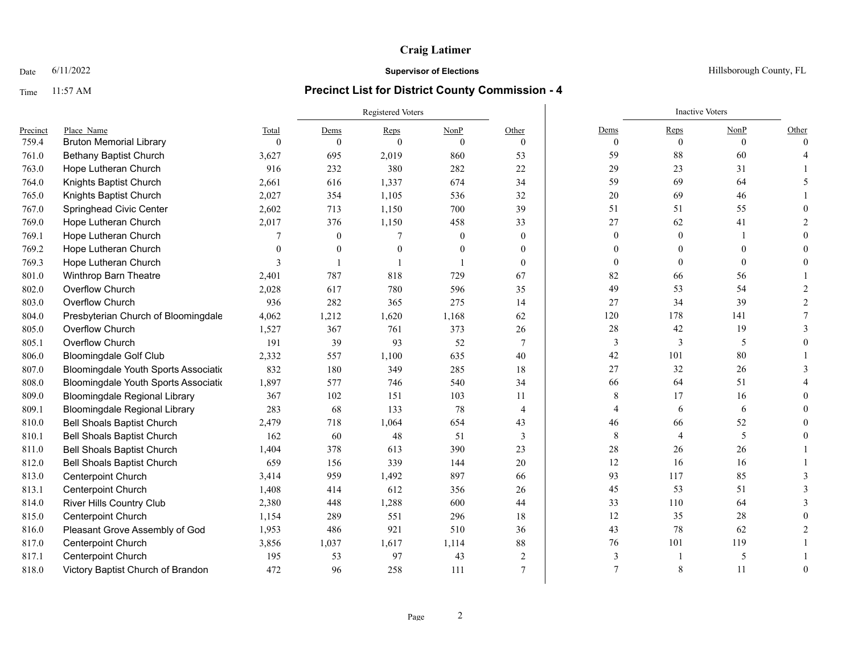### Date  $6/11/2022$  Hillsborough County, FL

|          |                                      |          | Registered Voters |          |          |                |                | <b>Inactive Voters</b> |          |          |
|----------|--------------------------------------|----------|-------------------|----------|----------|----------------|----------------|------------------------|----------|----------|
| Precinct | Place Name                           | Total    | Dems              | Reps     | NonP     | Other          | Dems           | Reps                   | NonP     | Other    |
| 759.4    | <b>Bruton Memorial Library</b>       | $\Omega$ | $\Omega$          | $\Omega$ | $\theta$ | $\theta$       | $\theta$       | $\theta$               | $\theta$ | $\Omega$ |
| 761.0    | <b>Bethany Baptist Church</b>        | 3,627    | 695               | 2,019    | 860      | 53             | 59             | 88                     | 60       |          |
| 763.0    | Hope Lutheran Church                 | 916      | 232               | 380      | 282      | 22             | 29             | 23                     | 31       |          |
| 764.0    | Knights Baptist Church               | 2,661    | 616               | 1,337    | 674      | 34             | 59             | 69                     | 64       |          |
| 765.0    | Knights Baptist Church               | 2,027    | 354               | 1,105    | 536      | 32             | $20\,$         | 69                     | 46       |          |
| 767.0    | Springhead Civic Center              | 2,602    | 713               | 1,150    | 700      | 39             | 51             | 51                     | 55       |          |
| 769.0    | Hope Lutheran Church                 | 2,017    | 376               | 1,150    | 458      | 33             | 27             | 62                     | 41       |          |
| 769.1    | Hope Lutheran Church                 |          | $\theta$          |          | $\theta$ | $\theta$       | $\mathbf{0}$   | $\theta$               |          |          |
| 769.2    | Hope Lutheran Church                 | $\Omega$ | $\theta$          |          | $\theta$ | $\overline{0}$ | $\Omega$       | $\theta$               | $\Omega$ |          |
| 769.3    | Hope Lutheran Church                 | 3        |                   |          |          | $\theta$       | $\mathbf{0}$   | $\theta$               | $\theta$ |          |
| 801.0    | Winthrop Barn Theatre                | 2,401    | 787               | 818      | 729      | 67             | 82             | 66                     | 56       |          |
| 802.0    | Overflow Church                      | 2,028    | 617               | 780      | 596      | 35             | 49             | 53                     | 54       |          |
| 803.0    | Overflow Church                      | 936      | 282               | 365      | 275      | 14             | 27             | 34                     | 39       |          |
| 804.0    | Presbyterian Church of Bloomingdale  | 4,062    | 1,212             | 1,620    | 1,168    | 62             | 120            | 178                    | 141      |          |
| 805.0    | Overflow Church                      | 1,527    | 367               | 761      | 373      | 26             | $28\,$         | 42                     | 19       |          |
| 805.1    | Overflow Church                      | 191      | 39                | 93       | 52       | 7              | 3              | 3                      | 5        |          |
| 806.0    | <b>Bloomingdale Golf Club</b>        | 2,332    | 557               | 1,100    | 635      | 40             | 42             | 101                    | 80       |          |
| 807.0    | Bloomingdale Youth Sports Associatio | 832      | 180               | 349      | 285      | 18             | $27\,$         | 32                     | 26       |          |
| 808.0    | Bloomingdale Youth Sports Associatio | 1,897    | 577               | 746      | 540      | 34             | 66             | 64                     | 51       |          |
| 809.0    | <b>Bloomingdale Regional Library</b> | 367      | 102               | 151      | 103      | 11             | 8              | 17                     | 16       |          |
| 809.1    | <b>Bloomingdale Regional Library</b> | 283      | 68                | 133      | 78       | $\overline{4}$ | $\overline{4}$ | 6                      | 6        |          |
| 810.0    | <b>Bell Shoals Baptist Church</b>    | 2,479    | 718               | 1,064    | 654      | 43             | 46             | 66                     | 52       |          |
| 810.1    | <b>Bell Shoals Baptist Church</b>    | 162      | 60                | 48       | 51       | 3              | $\,$ 8 $\,$    | $\overline{4}$         | 5        |          |
| 811.0    | <b>Bell Shoals Baptist Church</b>    | 1,404    | 378               | 613      | 390      | 23             | 28             | 26                     | 26       |          |
| 812.0    | <b>Bell Shoals Baptist Church</b>    | 659      | 156               | 339      | 144      | 20             | 12             | 16                     | 16       |          |
| 813.0    | <b>Centerpoint Church</b>            | 3,414    | 959               | 1,492    | 897      | 66             | 93             | 117                    | 85       |          |
| 813.1    | <b>Centerpoint Church</b>            | 1,408    | 414               | 612      | 356      | 26             | 45             | 53                     | 51       |          |
| 814.0    | <b>River Hills Country Club</b>      | 2,380    | 448               | 1,288    | 600      | 44             | 33             | 110                    | 64       |          |
| 815.0    | Centerpoint Church                   | 1,154    | 289               | 551      | 296      | 18             | 12             | 35                     | 28       |          |
| 816.0    | Pleasant Grove Assembly of God       | 1,953    | 486               | 921      | 510      | 36             | 43             | 78                     | 62       |          |
| 817.0    | Centerpoint Church                   | 3,856    | 1,037             | 1,617    | 1,114    | 88             | 76             | 101                    | 119      |          |
| 817.1    | <b>Centerpoint Church</b>            | 195      | 53                | 97       | 43       | $\overline{2}$ | 3              |                        | 5        |          |
| 818.0    | Victory Baptist Church of Brandon    | 472      | 96                | 258      | 111      | $\overline{7}$ | $\overline{7}$ | 8                      | 11       | $\Omega$ |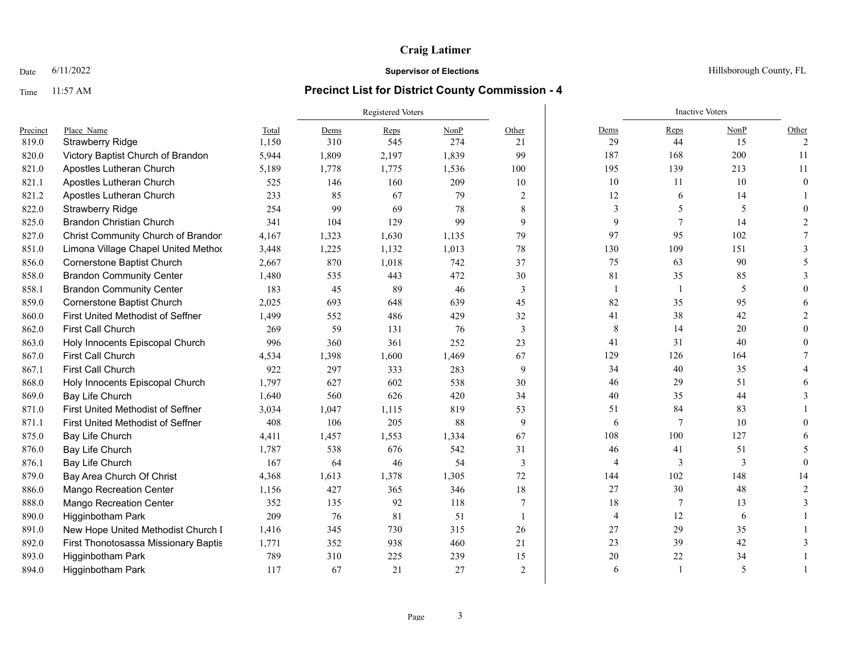### Date  $6/11/2022$  Hillsborough County, FL

|          |                                      |       |       | Registered Voters |       |                | <b>Inactive Voters</b> |                |        |                |
|----------|--------------------------------------|-------|-------|-------------------|-------|----------------|------------------------|----------------|--------|----------------|
| Precinct | Place Name                           | Total | Dems  | Reps              | NonP  | Other          | Dems                   | Reps           | NonP   | Other          |
| 819.0    | <b>Strawberry Ridge</b>              | 1,150 | 310   | 545               | 274   | 21             | 29                     | 44             | 15     | $\overline{2}$ |
| 820.0    | Victory Baptist Church of Brandon    | 5,944 | 1,809 | 2,197             | 1,839 | 99             | 187                    | 168            | 200    | 11             |
| 821.0    | Apostles Lutheran Church             | 5,189 | 1,778 | 1,775             | 1,536 | 100            | 195                    | 139            | 213    | 11             |
| 821.1    | Apostles Lutheran Church             | 525   | 146   | 160               | 209   | 10             | 10                     | 11             | 10     | $\Omega$       |
| 821.2    | Apostles Lutheran Church             | 233   | 85    | 67                | 79    | $\overline{2}$ | 12                     | 6              | 14     |                |
| 822.0    | <b>Strawberry Ridge</b>              | 254   | 99    | 69                | 78    | 8              | $\mathfrak{Z}$         | 5              | 5      |                |
| 825.0    | <b>Brandon Christian Church</b>      | 341   | 104   | 129               | 99    | 9              | 9                      | 7              | 14     |                |
| 827.0    | Christ Community Church of Brandon   | 4,167 | 1,323 | 1,630             | 1,135 | 79             | 97                     | 95             | 102    |                |
| 851.0    | Limona Village Chapel United Method  | 3,448 | 1,225 | 1,132             | 1,013 | 78             | 130                    | 109            | 151    |                |
| 856.0    | Cornerstone Baptist Church           | 2,667 | 870   | 1,018             | 742   | 37             | 75                     | 63             | 90     |                |
| 858.0    | <b>Brandon Community Center</b>      | 1,480 | 535   | 443               | 472   | 30             | 81                     | 35             | 85     |                |
| 858.1    | <b>Brandon Community Center</b>      | 183   | 45    | 89                | 46    | 3              |                        | -1             | 5      | $\Omega$       |
| 859.0    | Cornerstone Baptist Church           | 2,025 | 693   | 648               | 639   | 45             | 82                     | 35             | 95     |                |
| 860.0    | First United Methodist of Seffner    | 1,499 | 552   | 486               | 429   | 32             | 41                     | 38             | 42     |                |
| 862.0    | First Call Church                    | 269   | 59    | 131               | 76    | $\mathfrak{Z}$ | 8                      | 14             | $20\,$ |                |
| 863.0    | Holy Innocents Episcopal Church      | 996   | 360   | 361               | 252   | 23             | 41                     | 31             | 40     |                |
| 867.0    | <b>First Call Church</b>             | 4,534 | 1,398 | 1,600             | 1,469 | 67             | 129                    | 126            | 164    |                |
| 867.1    | <b>First Call Church</b>             | 922   | 297   | 333               | 283   | 9              | 34                     | 40             | 35     |                |
| 868.0    | Holy Innocents Episcopal Church      | 1,797 | 627   | 602               | 538   | 30             | 46                     | 29             | 51     |                |
| 869.0    | Bay Life Church                      | 1,640 | 560   | 626               | 420   | 34             | 40                     | 35             | 44     |                |
| 871.0    | First United Methodist of Seffner    | 3,034 | 1,047 | 1,115             | 819   | 53             | 51                     | 84             | 83     |                |
| 871.1    | First United Methodist of Seffner    | 408   | 106   | 205               | 88    | 9              | 6                      | $\overline{7}$ | $10\,$ |                |
| 875.0    | Bay Life Church                      | 4,411 | 1,457 | 1,553             | 1,334 | 67             | 108                    | 100            | 127    |                |
| 876.0    | Bay Life Church                      | 1,787 | 538   | 676               | 542   | 31             | 46                     | 41             | 51     |                |
| 876.1    | Bay Life Church                      | 167   | 64    | 46                | 54    | $\overline{3}$ | $\overline{4}$         | 3              | 3      | $\Omega$       |
| 879.0    | Bay Area Church Of Christ            | 4,368 | 1,613 | 1,378             | 1,305 | 72             | 144                    | 102            | 148    | 14             |
| 886.0    | <b>Mango Recreation Center</b>       | 1,156 | 427   | 365               | 346   | 18             | 27                     | 30             | 48     | $\mathcal{D}$  |
| 888.0    | <b>Mango Recreation Center</b>       | 352   | 135   | 92                | 118   | 7              | 18                     | 7              | 13     |                |
| 890.0    | Higginbotham Park                    | 209   | 76    | 81                | 51    | $\mathbf{1}$   | $\overline{4}$         | 12             | 6      |                |
| 891.0    | New Hope United Methodist Church I   | 1,416 | 345   | 730               | 315   | 26             | 27                     | 29             | 35     |                |
| 892.0    | First Thonotosassa Missionary Baptis | 1,771 | 352   | 938               | 460   | 21             | 23                     | 39             | 42     |                |
| 893.0    | Higginbotham Park                    | 789   | 310   | 225               | 239   | 15             | 20                     | 22             | 34     |                |
| 894.0    | <b>Higginbotham Park</b>             | 117   | 67    | 21                | 27    | $\overline{2}$ | 6                      |                | 5      |                |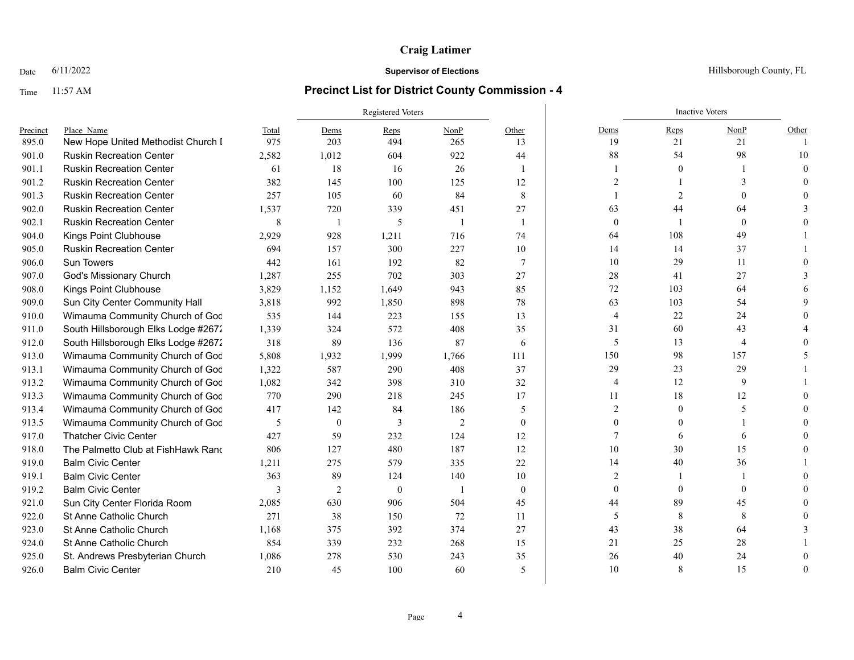### Date  $6/11/2022$  Hillsborough County, FL

|          |                                     |       | Registered Voters |          |                |                | <b>Inactive Voters</b> |                |                |          |
|----------|-------------------------------------|-------|-------------------|----------|----------------|----------------|------------------------|----------------|----------------|----------|
| Precinct | Place Name                          | Total | Dems              | Reps     | NonP           | Other          | Dems                   | Reps           | NonP           | Other    |
| 895.0    | New Hope United Methodist Church I  | 975   | 203               | 494      | 265            | 13             | 19                     | 21             | 21             |          |
| 901.0    | <b>Ruskin Recreation Center</b>     | 2,582 | 1,012             | 604      | 922            | 44             | 88                     | 54             | 98             | 10       |
| 901.1    | <b>Ruskin Recreation Center</b>     | 61    | 18                | 16       | 26             | -1             |                        | $\theta$       |                |          |
| 901.2    | <b>Ruskin Recreation Center</b>     | 382   | 145               | 100      | 125            | 12             | $\overline{2}$         |                |                |          |
| 901.3    | <b>Ruskin Recreation Center</b>     | 257   | 105               | 60       | 84             | 8              |                        | $\overline{2}$ |                |          |
| 902.0    | <b>Ruskin Recreation Center</b>     | 1,537 | 720               | 339      | 451            | 27             | 63                     | 44             | 64             |          |
| 902.1    | <b>Ruskin Recreation Center</b>     | 8     | -1                | 5        | - 1            | $\overline{1}$ | $\mathbf{0}$           | -1             | $\mathbf{0}$   |          |
| 904.0    | Kings Point Clubhouse               | 2,929 | 928               | 1,211    | 716            | 74             | 64                     | 108            | 49             |          |
| 905.0    | <b>Ruskin Recreation Center</b>     | 694   | 157               | 300      | 227            | 10             | 14                     | 14             | 37             |          |
| 906.0    | <b>Sun Towers</b>                   | 442   | 161               | 192      | 82             | $\tau$         | 10                     | 29             | 11             |          |
| 907.0    | God's Missionary Church             | 1,287 | 255               | 702      | 303            | 27             | 28                     | 41             | 27             |          |
| 908.0    | Kings Point Clubhouse               | 3,829 | 1,152             | 1,649    | 943            | 85             | 72                     | 103            | 64             |          |
| 909.0    | Sun City Center Community Hall      | 3,818 | 992               | 1,850    | 898            | 78             | 63                     | 103            | 54             |          |
| 910.0    | Wimauma Community Church of God     | 535   | 144               | 223      | 155            | 13             | $\overline{4}$         | 22             | 24             |          |
| 911.0    | South Hillsborough Elks Lodge #2672 | 1,339 | 324               | 572      | 408            | 35             | 31                     | 60             | 43             |          |
| 912.0    | South Hillsborough Elks Lodge #2672 | 318   | 89                | 136      | 87             | 6              | 5                      | 13             | $\overline{4}$ |          |
| 913.0    | Wimauma Community Church of God     | 5,808 | 1,932             | 1,999    | 1,766          | 111            | 150                    | 98             | 157            |          |
| 913.1    | Wimauma Community Church of God     | 1,322 | 587               | 290      | 408            | 37             | 29                     | 23             | 29             |          |
| 913.2    | Wimauma Community Church of God     | 1,082 | 342               | 398      | 310            | 32             | $\overline{4}$         | 12             | 9              |          |
| 913.3    | Wimauma Community Church of God     | 770   | 290               | 218      | 245            | 17             | 11                     | 18             | 12             |          |
| 913.4    | Wimauma Community Church of God     | 417   | 142               | 84       | 186            | 5              | $\overline{2}$         | $\theta$       | 5              |          |
| 913.5    | Wimauma Community Church of God     | 5     | $\overline{0}$    | 3        | $\overline{2}$ | $\mathbf{0}$   | 0                      |                |                |          |
| 917.0    | <b>Thatcher Civic Center</b>        | 427   | 59                | 232      | 124            | 12             |                        | 6              | 6              |          |
| 918.0    | The Palmetto Club at FishHawk Rand  | 806   | 127               | 480      | 187            | 12             | 10                     | 30             | 15             |          |
| 919.0    | <b>Balm Civic Center</b>            | 1,211 | 275               | 579      | 335            | 22             | 14                     | 40             | 36             |          |
| 919.1    | <b>Balm Civic Center</b>            | 363   | 89                | 124      | 140            | 10             | $\overline{2}$         |                |                |          |
| 919.2    | <b>Balm Civic Center</b>            | 3     | $\overline{2}$    | $\theta$ | -1             | $\mathbf{0}$   | $\theta$               | $\mathbf{0}$   | $\Omega$       |          |
| 921.0    | Sun City Center Florida Room        | 2,085 | 630               | 906      | 504            | 45             | 44                     | 89             | 45             |          |
| 922.0    | St Anne Catholic Church             | 271   | 38                | 150      | 72             | 11             | 5                      | 8              | 8              |          |
| 923.0    | St Anne Catholic Church             | 1,168 | 375               | 392      | 374            | 27             | 43                     | 38             | 64             |          |
| 924.0    | St Anne Catholic Church             | 854   | 339               | 232      | 268            | 15             | 21                     | 25             | 28             |          |
| 925.0    | St. Andrews Presbyterian Church     | 1,086 | 278               | 530      | 243            | 35             | 26                     | 40             | 24             |          |
| 926.0    | <b>Balm Civic Center</b>            | 210   | 45                | 100      | 60             | 5              | 10                     | 8              | 15             | $\Omega$ |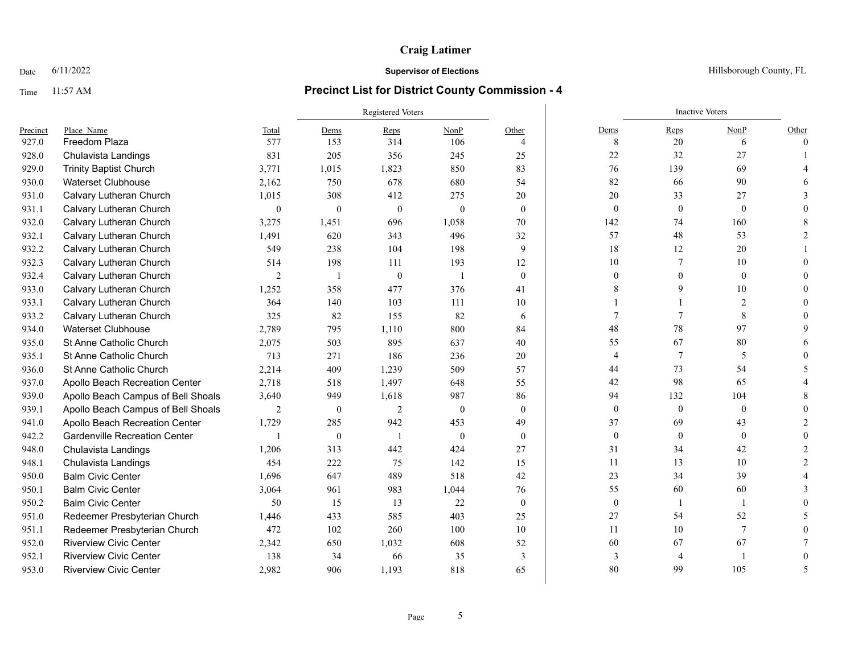### Date  $6/11/2022$  Hillsborough County, FL

|          |                                      |                  |                  | Registered Voters |                |                |                | <b>Inactive Voters</b> |                  |                          |
|----------|--------------------------------------|------------------|------------------|-------------------|----------------|----------------|----------------|------------------------|------------------|--------------------------|
| Precinct | Place Name                           | Total            | Dems             | Reps              | NonP           | Other          | Dems           | Reps                   | NonP             | Other                    |
| 927.0    | Freedom Plaza                        | 577              | 153              | 314               | 106            | $\overline{4}$ | 8              | 20                     | 6                | $\theta$                 |
| 928.0    | Chulavista Landings                  | 831              | 205              | 356               | 245            | 25             | $22\,$         | 32                     | 27               |                          |
| 929.0    | <b>Trinity Baptist Church</b>        | 3,771            | 1,015            | 1,823             | 850            | 83             | 76             | 139                    | 69               |                          |
| 930.0    | <b>Waterset Clubhouse</b>            | 2,162            | 750              | 678               | 680            | 54             | 82             | 66                     | 90               |                          |
| 931.0    | Calvary Lutheran Church              | 1,015            | 308              | 412               | 275            | 20             | 20             | 33                     | 27               |                          |
| 931.1    | Calvary Lutheran Church              | $\boldsymbol{0}$ | $\theta$         | $\overline{0}$    | $\theta$       | $\theta$       | $\mathbf{0}$   | $\mathbf{0}$           | $\mathbf{0}$     |                          |
| 932.0    | Calvary Lutheran Church              | 3,275            | 1,451            | 696               | 1,058          | 70             | 142            | 74                     | 160              |                          |
| 932.1    | Calvary Lutheran Church              | 1,491            | 620              | 343               | 496            | 32             | 57             | 48                     | 53               |                          |
| 932.2    | Calvary Lutheran Church              | 549              | 238              | 104               | 198            | 9              | 18             | 12                     | 20               |                          |
| 932.3    | Calvary Lutheran Church              | 514              | 198              | 111               | 193            | 12             | 10             | 7                      | 10               |                          |
| 932.4    | Calvary Lutheran Church              | $\overline{2}$   | $\mathbf{1}$     | $\mathbf{0}$      | $\overline{1}$ | $\theta$       | $\mathbf{0}$   | $\theta$               | $\mathbf{0}$     |                          |
| 933.0    | Calvary Lutheran Church              | 1,252            | 358              | 477               | 376            | 41             | 8              | 9                      | 10               |                          |
| 933.1    | Calvary Lutheran Church              | 364              | 140              | 103               | 111            | 10             |                |                        | $\overline{2}$   |                          |
| 933.2    | Calvary Lutheran Church              | 325              | 82               | 155               | 82             | 6              | 7              | 7                      | 8                |                          |
| 934.0    | <b>Waterset Clubhouse</b>            | 2,789            | 795              | 1,110             | 800            | 84             | 48             | 78                     | 97               |                          |
| 935.0    | St Anne Catholic Church              | 2,075            | 503              | 895               | 637            | 40             | 55             | 67                     | $80\,$           |                          |
| 935.1    | <b>St Anne Catholic Church</b>       | 713              | 271              | 186               | 236            | 20             | 4              | 7                      | 5                |                          |
| 936.0    | St Anne Catholic Church              | 2,214            | 409              | 1,239             | 509            | 57             | 44             | 73                     | 54               |                          |
| 937.0    | Apollo Beach Recreation Center       | 2,718            | 518              | 1,497             | 648            | 55             | 42             | 98                     | 65               |                          |
| 939.0    | Apollo Beach Campus of Bell Shoals   | 3,640            | 949              | 1,618             | 987            | 86             | 94             | 132                    | 104              |                          |
| 939.1    | Apollo Beach Campus of Bell Shoals   | 2                | $\mathbf{0}$     | $\overline{c}$    | $\overline{0}$ | $\mathbf{0}$   | $\mathbf{0}$   | $\mathbf{0}$           | $\boldsymbol{0}$ |                          |
| 941.0    | Apollo Beach Recreation Center       | 1,729            | 285              | 942               | 453            | 49             | 37             | 69                     | 43               |                          |
| 942.2    | <b>Gardenville Recreation Center</b> |                  | $\boldsymbol{0}$ | -1                | $\mathbf{0}$   | $\mathbf{0}$   | $\mathbf{0}$   | $\mathbf{0}$           | $\boldsymbol{0}$ |                          |
| 948.0    | Chulavista Landings                  | 1,206            | 313              | 442               | 424            | 27             | 31             | 34                     | 42               |                          |
| 948.1    | Chulavista Landings                  | 454              | 222              | 75                | 142            | 15             | 11             | 13                     | 10               |                          |
| 950.0    | <b>Balm Civic Center</b>             | 1,696            | 647              | 489               | 518            | 42             | 23             | 34                     | 39               |                          |
| 950.1    | <b>Balm Civic Center</b>             | 3,064            | 961              | 983               | 1,044          | 76             | 55             | 60                     | 60               |                          |
| 950.2    | <b>Balm Civic Center</b>             | 50               | 15               | 13                | 22             | $\theta$       | $\mathbf{0}$   | -1                     | -1               |                          |
| 951.0    | Redeemer Presbyterian Church         | 1,446            | 433              | 585               | 403            | 25             | 27             | 54                     | 52               |                          |
| 951.1    | Redeemer Presbyterian Church         | 472              | 102              | 260               | 100            | 10             | 11             | 10                     | $\tau$           |                          |
| 952.0    | <b>Riverview Civic Center</b>        | 2,342            | 650              | 1,032             | 608            | 52             | 60             | 67                     | 67               |                          |
| 952.1    | <b>Riverview Civic Center</b>        | 138              | 34               | 66                | 35             | $\overline{3}$ | $\overline{3}$ | $\overline{4}$         | $\overline{1}$   |                          |
| 953.0    | <b>Riverview Civic Center</b>        | 2,982            | 906              | 1,193             | 818            | 65             | 80             | 99                     | 105              | $\overline{\phantom{0}}$ |